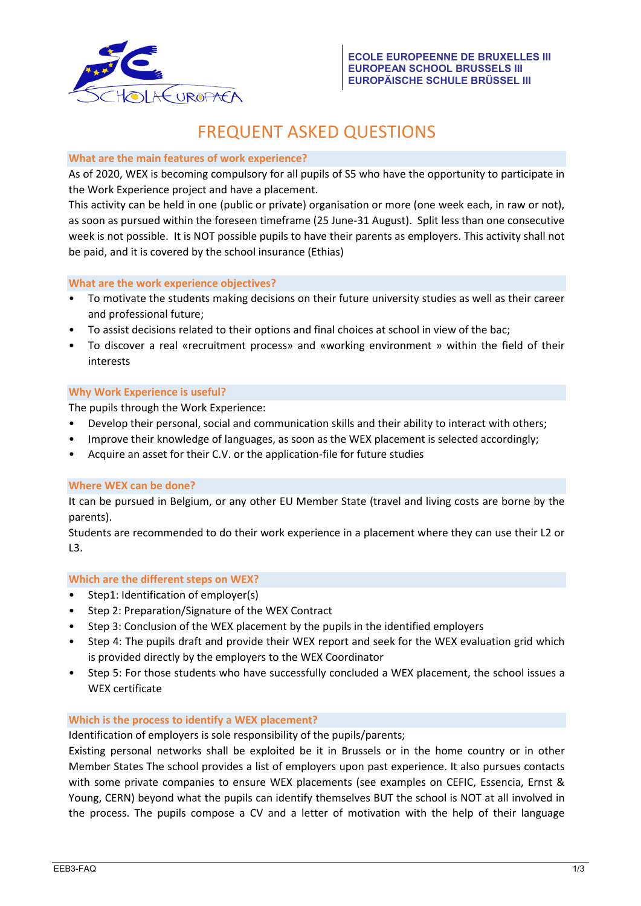

# FREQUENT ASKED QUESTIONS

# **What are the main features of work experience?**

As of 2020, WEX is becoming compulsory for all pupils of S5 who have the opportunity to participate in the Work Experience project and have a placement.

This activity can be held in one (public or private) organisation or more (one week each, in raw or not), as soon as pursued within the foreseen timeframe (25 June-31 August). Split less than one consecutive week is not possible. It is NOT possible pupils to have their parents as employers. This activity shall not be paid, and it is covered by the school insurance (Ethias)

# **What are the work experience objectives?**

- To motivate the students making decisions on their future university studies as well as their career and professional future;
- To assist decisions related to their options and final choices at school in view of the bac;
- To discover a real «recruitment process» and «working environment » within the field of their interests

# **Why Work Experience is useful?**

The pupils through the Work Experience:

- Develop their personal, social and communication skills and their ability to interact with others;
- Improve their knowledge of languages, as soon as the WEX placement is selected accordingly;
- Acquire an asset for their C.V. or the application-file for future studies

## **Where WEX can be done?**

It can be pursued in Belgium, or any other EU Member State (travel and living costs are borne by the parents).

Students are recommended to do their work experience in a placement where they can use their L2 or  $L3.$ 

# **Which are the different steps on WEX?**

- Step1: Identification of employer(s)
- Step 2: Preparation/Signature of the WEX Contract
- Step 3: Conclusion of the WEX placement by the pupils in the identified employers
- Step 4: The pupils draft and provide their WEX report and seek for the WEX evaluation grid which is provided directly by the employers to the WEX Coordinator
- Step 5: For those students who have successfully concluded a WEX placement, the school issues a WEX certificate

## **Which is the process to identify a WEX placement?**

Identification of employers is sole responsibility of the pupils/parents;

Existing personal networks shall be exploited be it in Brussels or in the home country or in other Member States The school provides a list of employers upon past experience. It also pursues contacts with some private companies to ensure WEX placements (see examples on CEFIC, Essencia, Ernst & Young, CERN) beyond what the pupils can identify themselves BUT the school is NOT at all involved in the process. The pupils compose a CV and a letter of motivation with the help of their language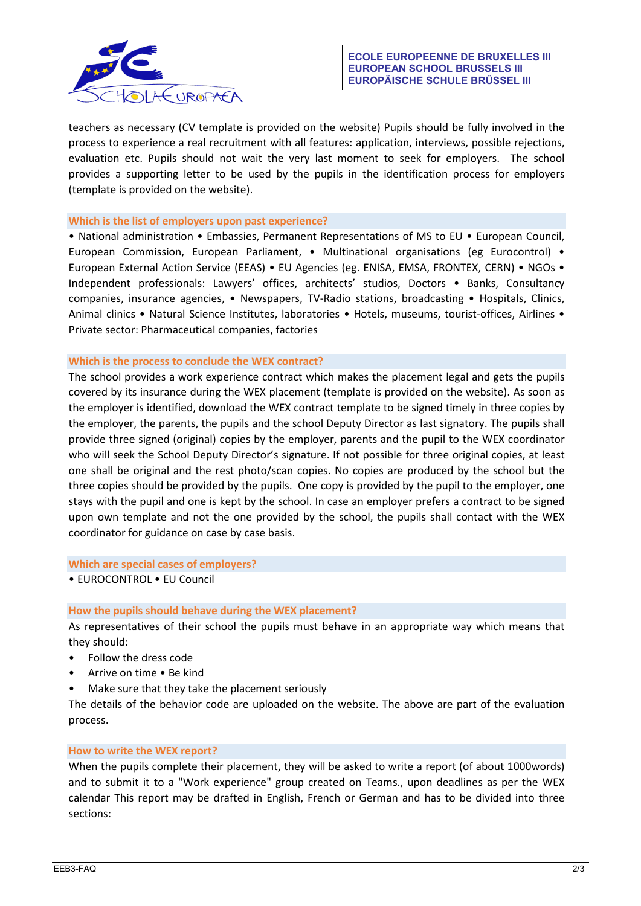

teachers as necessary (CV template is provided on the website) Pupils should be fully involved in the process to experience a real recruitment with all features: application, interviews, possible rejections, evaluation etc. Pupils should not wait the very last moment to seek for employers. The school provides a supporting letter to be used by the pupils in the identification process for employers (template is provided on the website).

#### **Which is the list of employers upon past experience?**

• National administration • Embassies, Permanent Representations of MS to EU • European Council, European Commission, European Parliament, • Multinational organisations (eg Eurocontrol) • European External Action Service (EEAS) • EU Agencies (eg. ENISA, EMSA, FRONTEX, CERN) • NGOs • Independent professionals: Lawyers' offices, architects' studios, Doctors • Banks, Consultancy companies, insurance agencies, • Newspapers, TV-Radio stations, broadcasting • Hospitals, Clinics, Animal clinics • Natural Science Institutes, laboratories • Hotels, museums, tourist-offices, Airlines • Private sector: Pharmaceutical companies, factories

## **Which is the process to conclude the WEX contract?**

The school provides a work experience contract which makes the placement legal and gets the pupils covered by its insurance during the WEX placement (template is provided on the website). As soon as the employer is identified, download the WEX contract template to be signed timely in three copies by the employer, the parents, the pupils and the school Deputy Director as last signatory. The pupils shall provide three signed (original) copies by the employer, parents and the pupil to the WEX coordinator who will seek the School Deputy Director's signature. If not possible for three original copies, at least one shall be original and the rest photo/scan copies. No copies are produced by the school but the three copies should be provided by the pupils. One copy is provided by the pupil to the employer, one stays with the pupil and one is kept by the school. In case an employer prefers a contract to be signed upon own template and not the one provided by the school, the pupils shall contact with the WEX coordinator for guidance on case by case basis.

**Which are special cases of employers?**

• EUROCONTROL • EU Council

#### **How the pupils should behave during the WEX placement?**

As representatives of their school the pupils must behave in an appropriate way which means that they should:

- Follow the dress code
- Arrive on time Be kind
- Make sure that they take the placement seriously

The details of the behavior code are uploaded on the website. The above are part of the evaluation process.

#### **How to write the WEX report?**

When the pupils complete their placement, they will be asked to write a report (of about 1000words) and to submit it to a "Work experience" group created on Teams., upon deadlines as per the WEX calendar This report may be drafted in English, French or German and has to be divided into three sections: